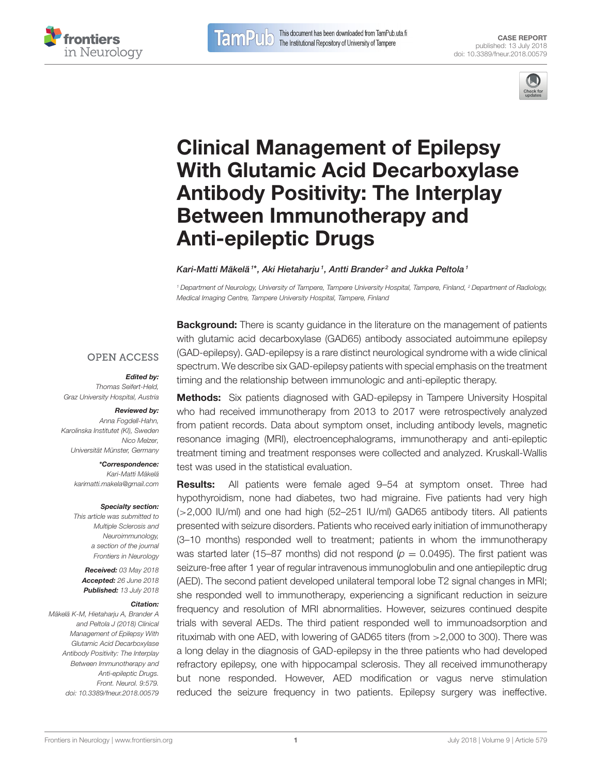This document has been downloaded from TamPub.uta.fi The Institutional Repository of University of Tampere





# Clinical Management of Epilepsy [With Glutamic Acid Decarboxylase](https://www.frontiersin.org/articles/10.3389/fneur.2018.00579/full) Antibody Positivity: The Interplay Between Immunotherapy and Anti-epileptic Drugs

#### [Kari-Matti Mäkelä](http://loop.frontiersin.org/people/500871/overview)\*\*, [Aki Hietaharju](http://loop.frontiersin.org/people/584451/overview)<sup>1</sup>, Antti Brander<sup>2</sup> and [Jukka Peltola](http://loop.frontiersin.org/people/66413/overview)<sup>1</sup>

**TamP** 

 $\overline{\mathbf{0}}$ 

<sup>1</sup> Department of Neurology, University of Tampere, Tampere University Hospital, Tampere, Finland, <sup>2</sup> Department of Radiology, Medical Imaging Centre, Tampere University Hospital, Tampere, Finland

**OPEN ACCESS** 

#### Edited by:

Thomas Seifert-Held, Graz University Hospital, Austria

# Reviewed by:

Anna Fogdell-Hahn, Karolinska Institutet (KI), Sweden Nico Melzer, Universität Münster, Germany

> \*Correspondence: Kari-Matti Mäkelä [karimatti.makela@gmail.com](mailto:karimatti.makela@gmail.com)

#### Specialty section:

This article was submitted to Multiple Sclerosis and Neuroimmunology, a section of the journal Frontiers in Neurology

Received: 03 May 2018 Accepted: 26 June 2018 Published: 13 July 2018

#### Citation:

Mäkelä K-M, Hietaharju A, Brander A and Peltola J (2018) Clinical Management of Epilepsy With Glutamic Acid Decarboxylase Antibody Positivity: The Interplay Between Immunotherapy and Anti-epileptic Drugs. Front. Neurol. 9:579. doi: [10.3389/fneur.2018.00579](https://doi.org/10.3389/fneur.2018.00579)

**Background:** There is scanty guidance in the literature on the management of patients with glutamic acid decarboxylase (GAD65) antibody associated autoimmune epilepsy (GAD-epilepsy). GAD-epilepsy is a rare distinct neurological syndrome with a wide clinical spectrum. We describe six GAD-epilepsy patients with special emphasis on the treatment timing and the relationship between immunologic and anti-epileptic therapy.

**Methods:** Six patients diagnosed with GAD-epilepsy in Tampere University Hospital who had received immunotherapy from 2013 to 2017 were retrospectively analyzed from patient records. Data about symptom onset, including antibody levels, magnetic resonance imaging (MRI), electroencephalograms, immunotherapy and anti-epileptic treatment timing and treatment responses were collected and analyzed. Kruskall-Wallis test was used in the statistical evaluation.

Results: All patients were female aged 9–54 at symptom onset. Three had hypothyroidism, none had diabetes, two had migraine. Five patients had very high (>2,000 IU/ml) and one had high (52–251 IU/ml) GAD65 antibody titers. All patients presented with seizure disorders. Patients who received early initiation of immunotherapy (3–10 months) responded well to treatment; patients in whom the immunotherapy was started later (15–87 months) did not respond ( $p = 0.0495$ ). The first patient was seizure-free after 1 year of regular intravenous immunoglobulin and one antiepileptic drug (AED). The second patient developed unilateral temporal lobe T2 signal changes in MRI; she responded well to immunotherapy, experiencing a significant reduction in seizure frequency and resolution of MRI abnormalities. However, seizures continued despite trials with several AEDs. The third patient responded well to immunoadsorption and rituximab with one AED, with lowering of GAD65 titers (from >2,000 to 300). There was a long delay in the diagnosis of GAD-epilepsy in the three patients who had developed refractory epilepsy, one with hippocampal sclerosis. They all received immunotherapy but none responded. However, AED modification or vagus nerve stimulation reduced the seizure frequency in two patients. Epilepsy surgery was ineffective.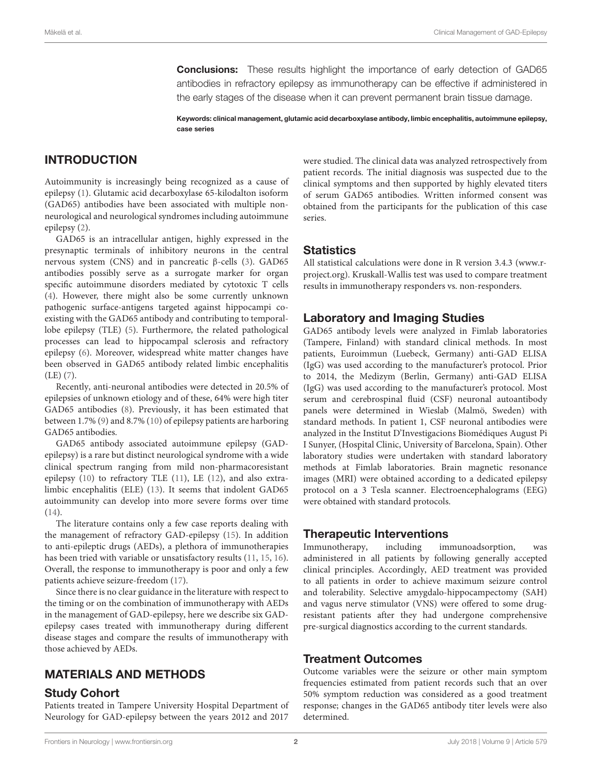**Conclusions:** These results highlight the importance of early detection of GAD65 antibodies in refractory epilepsy as immunotherapy can be effective if administered in the early stages of the disease when it can prevent permanent brain tissue damage.

Keywords: clinical management, glutamic acid decarboxylase antibody, limbic encephalitis, autoimmune epilepsy, case series

## INTRODUCTION

Autoimmunity is increasingly being recognized as a cause of epilepsy [\(1\)](#page-7-0). Glutamic acid decarboxylase 65-kilodalton isoform (GAD65) antibodies have been associated with multiple nonneurological and neurological syndromes including autoimmune epilepsy [\(2\)](#page-7-1).

GAD65 is an intracellular antigen, highly expressed in the presynaptic terminals of inhibitory neurons in the central nervous system (CNS) and in pancreatic β-cells [\(3\)](#page-7-2). GAD65 antibodies possibly serve as a surrogate marker for organ specific autoimmune disorders mediated by cytotoxic T cells [\(4\)](#page-7-3). However, there might also be some currently unknown pathogenic surface-antigens targeted against hippocampi coexisting with the GAD65 antibody and contributing to temporallobe epilepsy (TLE) [\(5\)](#page-7-4). Furthermore, the related pathological processes can lead to hippocampal sclerosis and refractory epilepsy [\(6\)](#page-7-5). Moreover, widespread white matter changes have been observed in GAD65 antibody related limbic encephalitis (LE) [\(7\)](#page-7-6).

Recently, anti-neuronal antibodies were detected in 20.5% of epilepsies of unknown etiology and of these, 64% were high titer GAD65 antibodies [\(8\)](#page-7-7). Previously, it has been estimated that between 1.7% [\(9\)](#page-7-8) and 8.7% [\(10\)](#page-7-9) of epilepsy patients are harboring GAD65 antibodies.

GAD65 antibody associated autoimmune epilepsy (GADepilepsy) is a rare but distinct neurological syndrome with a wide clinical spectrum ranging from mild non-pharmacoresistant epilepsy [\(10\)](#page-7-9) to refractory TLE [\(11\)](#page-7-10), LE [\(12\)](#page-7-11), and also extralimbic encephalitis (ELE) [\(13\)](#page-7-12). It seems that indolent GAD65 autoimmunity can develop into more severe forms over time [\(14\)](#page-7-13).

The literature contains only a few case reports dealing with the management of refractory GAD-epilepsy [\(15\)](#page-7-14). In addition to anti-epileptic drugs (AEDs), a plethora of immunotherapies has been tried with variable or unsatisfactory results [\(11,](#page-7-10) [15,](#page-7-14) [16\)](#page-7-15). Overall, the response to immunotherapy is poor and only a few patients achieve seizure-freedom [\(17\)](#page-7-16).

Since there is no clear guidance in the literature with respect to the timing or on the combination of immunotherapy with AEDs in the management of GAD-epilepsy, here we describe six GADepilepsy cases treated with immunotherapy during different disease stages and compare the results of immunotherapy with those achieved by AEDs.

## MATERIALS AND METHODS

#### Study Cohort

Patients treated in Tampere University Hospital Department of Neurology for GAD-epilepsy between the years 2012 and 2017 were studied. The clinical data was analyzed retrospectively from patient records. The initial diagnosis was suspected due to the clinical symptoms and then supported by highly elevated titers of serum GAD65 antibodies. Written informed consent was obtained from the participants for the publication of this case series.

### **Statistics**

All statistical calculations were done in R version 3.4.3 [\(www.r](www.r-project.org)[project.org\)](www.r-project.org). Kruskall-Wallis test was used to compare treatment results in immunotherapy responders vs. non-responders.

### Laboratory and Imaging Studies

GAD65 antibody levels were analyzed in Fimlab laboratories (Tampere, Finland) with standard clinical methods. In most patients, Euroimmun (Luebeck, Germany) anti-GAD ELISA (IgG) was used according to the manufacturer's protocol. Prior to 2014, the Medizym (Berlin, Germany) anti-GAD ELISA (IgG) was used according to the manufacturer's protocol. Most serum and cerebrospinal fluid (CSF) neuronal autoantibody panels were determined in Wieslab (Malmö, Sweden) with standard methods. In patient 1, CSF neuronal antibodies were analyzed in the Institut D'Investigacions Biomédiques August Pi I Sunyer, (Hospital Clinic, University of Barcelona, Spain). Other laboratory studies were undertaken with standard laboratory methods at Fimlab laboratories. Brain magnetic resonance images (MRI) were obtained according to a dedicated epilepsy protocol on a 3 Tesla scanner. Electroencephalograms (EEG) were obtained with standard protocols.

#### Therapeutic Interventions

Immunotherapy, including immunoadsorption, was administered in all patients by following generally accepted clinical principles. Accordingly, AED treatment was provided to all patients in order to achieve maximum seizure control and tolerability. Selective amygdalo-hippocampectomy (SAH) and vagus nerve stimulator (VNS) were offered to some drugresistant patients after they had undergone comprehensive pre-surgical diagnostics according to the current standards.

#### Treatment Outcomes

Outcome variables were the seizure or other main symptom frequencies estimated from patient records such that an over 50% symptom reduction was considered as a good treatment response; changes in the GAD65 antibody titer levels were also determined.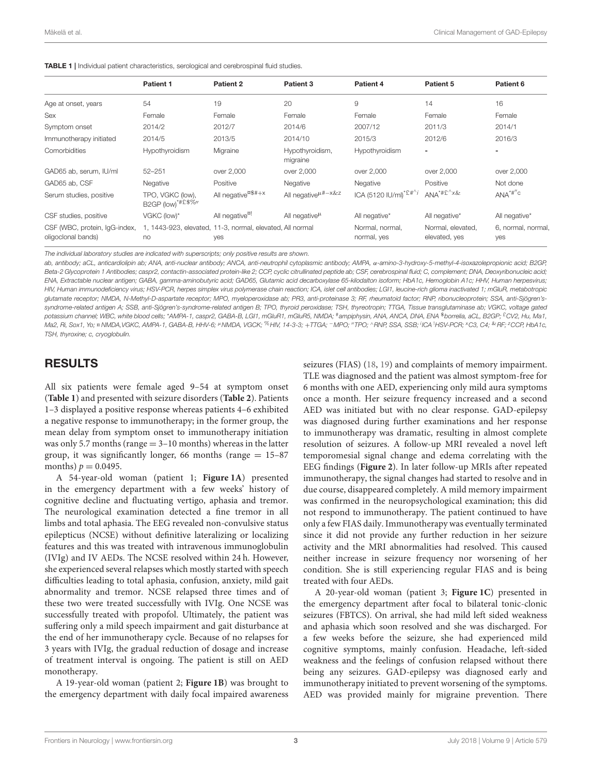<span id="page-2-0"></span>

|  |  |  |  | <b>TABLE 1</b>   Individual patient characteristics, serological and cerebrospinal fluid studies. |  |
|--|--|--|--|---------------------------------------------------------------------------------------------------|--|
|--|--|--|--|---------------------------------------------------------------------------------------------------|--|

|                                                     | <b>Patient 1</b>                                                | Patient 2                      | Patient 3                                         | Patient 4                                | Patient 5                                       | Patient 6                 |
|-----------------------------------------------------|-----------------------------------------------------------------|--------------------------------|---------------------------------------------------|------------------------------------------|-------------------------------------------------|---------------------------|
| Age at onset, years                                 | 54                                                              | 19                             | 20                                                | 9                                        | 14                                              | 16                        |
| Sex                                                 | Female                                                          | Female                         | Female                                            | Female                                   | Female                                          | Female                    |
| Symptom onset                                       | 2014/2                                                          | 2012/7                         | 2014/6                                            | 2007/12                                  | 2011/3                                          | 2014/1                    |
| Immunotherapy initiated                             | 2014/5                                                          | 2013/5                         | 2014/10                                           | 2015/3                                   | 2012/6                                          | 2016/3                    |
| Comorbidities                                       | Hypothyroidism                                                  | Migraine                       | Hypothyroidism,<br>migraine                       | Hypothyroidism                           | $\overline{\phantom{a}}$                        | -                         |
| GAD65 ab, serum, IU/ml                              | $52 - 251$                                                      | over 2,000                     | over 2,000                                        | over 2,000                               | over 2,000                                      | over 2,000                |
| GAD65 ab, CSF                                       | Negative                                                        | Positive                       | Negative                                          | Negative                                 | Positive                                        | Not done                  |
| Serum studies, positive                             | TPO, VGKC (low),<br>B2GP (low)*#£\$%"                           | All negative <sup>¤\$#+x</sup> | All negative <sup><math>\mu</math>#-x&amp;z</sup> | ICA (5120 IU/ml) <sup>*£#^<i>i</i></sup> | $ANA^{\ast \# \hat{E}^{\wedge} \times \hat{\&}$ | $ANA^{\star\#''}C$        |
| CSF studies, positive                               | VGKC (low)*                                                     | All negative <sup>¤!</sup>     | All negative $\mu$                                | All negative*                            | All negative*                                   | All negative*             |
| CSF (WBC, protein, IgG-index,<br>oligoclonal bands) | 1, 1443-923, elevated, 11-3, normal, elevated, All normal<br>no | <b>yes</b>                     |                                                   | Normal, normal,<br>normal, yes           | Normal, elevated,<br>elevated, yes              | 6, normal, normal,<br>yes |

The individual laboratory studies are indicated with superscripts; only positive results are shown.

ab, antibody; aCL, anticardiolipin ab; ANA, anti-nuclear antibody; ANCA, anti-neutrophil cytoplasmic antibody; AMPA, α-amino-3-hydroxy-5-methyl-4-isoxazolepropionic acid; B2GP, Beta-2 Glycoprotein 1 Antibodies; caspr2, contactin-associated protein-like 2; CCP, cyclic citrullinated peptide ab; CSF, cerebrospinal fluid; C, complement; DNA, Deoxyribonucleic acid; ENA, Extractable nuclear antigen; GABA, gamma-aminobutyric acid; GAD65, Glutamic acid decarboxylase 65-kilodalton isoform; HbA1c, Hemoglobin A1c; HHV, Human herpesvirus; HIV, Human immunodeficiency virus; HSV-PCR, herpes simplex virus polymerase chain reaction; ICA, islet cell antibodies; LGI1, leucine-rich glioma inactivated 1; mGluR, metabotropic glutamate receptor; NMDA, N-Methyl-D-aspartate receptor; MPO, myeloperoxidase ab; PR3, anti-proteinase 3; RF, rheumatoid factor; RNP, ribonucleoprotein; SSA, anti-Sjögren'ssyndrome-related antigen A; SSB, anti-Sjögren's-syndrome-related antigen B; TPO, thyroid peroxidase; TSH, thyreotropin; TTGA, Tissue transglutaminase ab; VGKC, voltage gated potassium channel; WBC, white blood cells; \*AMPA-1, caspr2, GABA-B, LGI1, mGluR1, mGluR5, NMDA; <sup>#</sup>ampiphysin, ANA, ANCA, DNA, ENA <sup>\$</sup>borrelia, aCL, B2GP; <sup>£</sup>CV2, Hu, Ma1, Ma2, Ri, Sox1, Yo; ¤ NMDA,VGKC, AMPA-1, GABA-B, HHV-6; "NMDA, VGCK; <sup>%</sup>HIV, 14-3-3; +TTGA; ¯MPO; "TPO; ^RNP, SSA, SSB; <sup>i</sup>ICA <sup>1</sup>HSV-PCR; <sup>x</sup>C3, C4; <sup>&</sup>RF; <sup>z</sup>CCP, HbA1c, TSH, thyroxine; c, cryoglobulin.

#### RESULTS

All six patients were female aged 9–54 at symptom onset (**[Table 1](#page-2-0)**) and presented with seizure disorders (**[Table 2](#page-3-0)**). Patients 1–3 displayed a positive response whereas patients 4–6 exhibited a negative response to immunotherapy; in the former group, the mean delay from symptom onset to immunotherapy initiation was only 5.7 months (range  $=$  3–10 months) whereas in the latter group, it was significantly longer, 66 months (range  $= 15-87$ months)  $p = 0.0495$ .

A 54-year-old woman (patient 1; **[Figure 1A](#page-4-0)**) presented in the emergency department with a few weeks' history of cognitive decline and fluctuating vertigo, aphasia and tremor. The neurological examination detected a fine tremor in all limbs and total aphasia. The EEG revealed non-convulsive status epilepticus (NCSE) without definitive lateralizing or localizing features and this was treated with intravenous immunoglobulin (IVIg) and IV AEDs. The NCSE resolved within 24 h. However, she experienced several relapses which mostly started with speech difficulties leading to total aphasia, confusion, anxiety, mild gait abnormality and tremor. NCSE relapsed three times and of these two were treated successfully with IVIg. One NCSE was successfully treated with propofol. Ultimately, the patient was suffering only a mild speech impairment and gait disturbance at the end of her immunotherapy cycle. Because of no relapses for 3 years with IVIg, the gradual reduction of dosage and increase of treatment interval is ongoing. The patient is still on AED monotherapy.

A 19-year-old woman (patient 2; **[Figure 1B](#page-4-0)**) was brought to the emergency department with daily focal impaired awareness seizures (FIAS) [\(18,](#page-7-17) [19\)](#page-7-18) and complaints of memory impairment. TLE was diagnosed and the patient was almost symptom-free for 6 months with one AED, experiencing only mild aura symptoms once a month. Her seizure frequency increased and a second AED was initiated but with no clear response. GAD-epilepsy was diagnosed during further examinations and her response to immunotherapy was dramatic, resulting in almost complete resolution of seizures. A follow-up MRI revealed a novel left temporomesial signal change and edema correlating with the EEG findings (**[Figure 2](#page-5-0)**). In later follow-up MRIs after repeated immunotherapy, the signal changes had started to resolve and in due course, disappeared completely. A mild memory impairment was confirmed in the neuropsychological examination; this did not respond to immunotherapy. The patient continued to have only a few FIAS daily. Immunotherapy was eventually terminated since it did not provide any further reduction in her seizure activity and the MRI abnormalities had resolved. This caused neither increase in seizure frequency nor worsening of her condition. She is still experiencing regular FIAS and is being treated with four AEDs.

A 20-year-old woman (patient 3; **[Figure 1C](#page-4-0)**) presented in the emergency department after focal to bilateral tonic-clonic seizures (FBTCS). On arrival, she had mild left sided weakness and aphasia which soon resolved and she was discharged. For a few weeks before the seizure, she had experienced mild cognitive symptoms, mainly confusion. Headache, left-sided weakness and the feelings of confusion relapsed without there being any seizures. GAD-epilepsy was diagnosed early and immunotherapy initiated to prevent worsening of the symptoms. AED was provided mainly for migraine prevention. There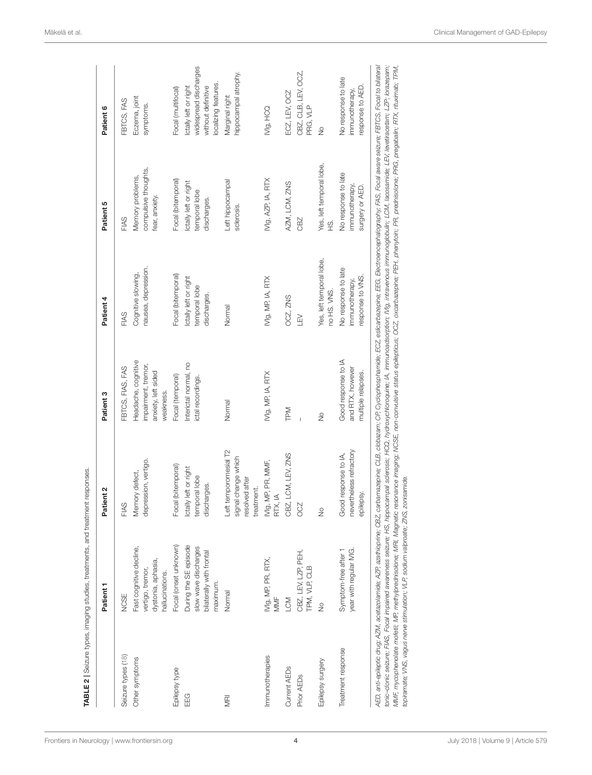|                                   | Patient 1                                                                             | Patient 2                                                                   | Patient 3                                                                      | Patient 4                                                 | Patient 5                                                  | Patient 6                                                                                    |
|-----------------------------------|---------------------------------------------------------------------------------------|-----------------------------------------------------------------------------|--------------------------------------------------------------------------------|-----------------------------------------------------------|------------------------------------------------------------|----------------------------------------------------------------------------------------------|
| <b>NCSE</b><br>Seizure types (18) |                                                                                       | FIAS                                                                        | FBTCS, FIAS, FAS                                                               | FIAS                                                      | <b>FIAS</b>                                                | <b>FBTCS, FAS</b>                                                                            |
| Other symptoms                    | Fast cognitive decline,<br>dystonia, aphasia,<br>vertigo, tremor,<br>hallucinations.  | depression, vertigo.<br>Memory defect,                                      | Headache, cognitive<br>impairment, tremor,<br>anxiety, left sided<br>weakness. | nausea, depression.<br>Cognitive slowing,                 | compulsive thoughts,<br>Memory problems,<br>fear, anxiety. | Eczema, joint<br>symptoms.                                                                   |
| Epilepsy type                     | Focal (onset unknown)                                                                 | Focal (bitemporal)                                                          | Focal (temporal)                                                               | Focal (bitemporal)                                        | Focal (bitemporal)                                         | Focal (multifocal)                                                                           |
| EG                                | During the SE episode<br>slow wave discharges<br>bilaterally with frontal<br>maximum. | Ictally left or right<br>temporal lobe<br>discharges.                       | Interictal normal, no<br>ictal recordings                                      | Ictally left or right<br>temporal lobe<br>discharges.     | Ictally left or right<br>temporal lobe<br>discharges.      | widespread discharges<br>localizing features.<br>Ictally left or right<br>without definitive |
| Normal<br>ΜÑ                      |                                                                                       | eft temporomesial T2<br>signal change which<br>resolved after<br>treatment. | Normal                                                                         | Normal                                                    | Left hippocampal<br>sclerosis.                             | hippocampal atrophy.<br>Marginal right                                                       |
| MMF<br>Immunotherapies            | IVIg, MP, PR, RTX,                                                                    | IVIg, MP, PR, MMF,<br>RTX, IA                                               | IVIg, MP, IA, RTX                                                              | IVIg, MP, IA, RTX                                         | IVIg, AZP, IA, RTX                                         | IVIg, HCQ                                                                                    |
| LCM<br>Current AED <sub>s</sub>   |                                                                                       | CBZ, LCM, LEV, ZNS                                                          | <b>TPM</b>                                                                     | OCZ, ZNS                                                  | AZM, LCM, ZNS                                              | ECZ, LEV, OCZ                                                                                |
| Prior AED <sub>s</sub>            | CBZ, LEV, LZP, PEH,<br>TPM, VLP, CLB                                                  | OCZ                                                                         |                                                                                | $\leq$                                                    | CBZ                                                        | CBZ, CLB, LEV, OCZ,<br>PRG, VLP                                                              |
| $\frac{1}{2}$<br>Epilepsy surgery |                                                                                       | $\frac{1}{2}$                                                               | $\frac{1}{2}$                                                                  | Yes, left temporal lobe,<br>no HS. VNS.                   | Yes, left temporal lobe,<br>s.<br>E                        | $\frac{6}{2}$                                                                                |
| Treatment response                | year with regular IVIG.<br>Symptom-free after 1                                       | nevertheless refractory<br>Good response to IA,<br>epilepsy.                | Good response to IA<br>and RTX, however<br>multiple relapses.                  | No response to late<br>response to VNS.<br>immunotherapy, | No response to late<br>immunotherapy,<br>surgery or AED.   | No response to late<br>response to AED.<br>immunotherapy,                                    |

<span id="page-3-0"></span>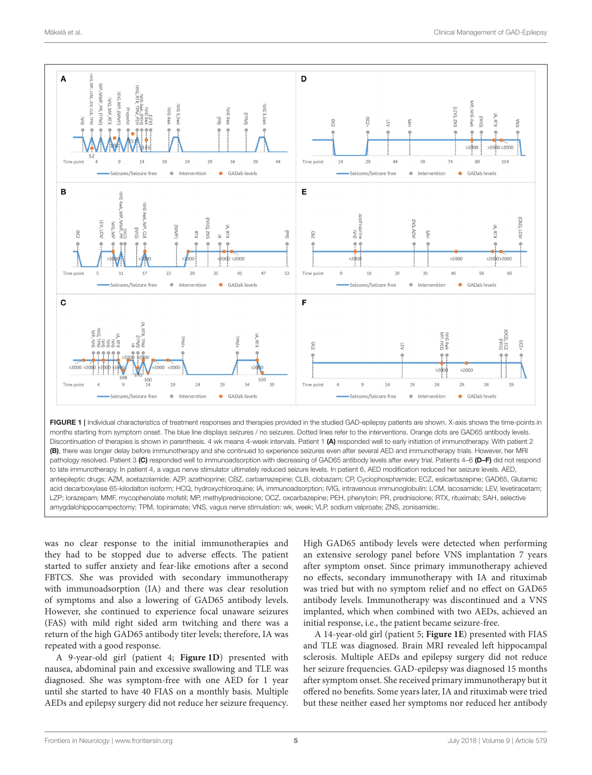

<span id="page-4-0"></span>FIGURE 1 | Individual characteristics of treatment responses and therapies provided in the studied GAD-epilepsy patients are shown. X-axis shows the time-points in months starting from symptom onset. The blue line displays seizures / no seizures. Dotted lines refer to the interventions. Orange dots are GAD65 antibody levels. Discontinuation of therapies is shown in parenthesis. 4 wk means 4-week intervals. Patient 1 (A) responded well to early initiation of immunotherapy. With patient 2 (B), there was longer delay before immunotherapy and she continued to experience seizures even after several AED and immunotherapy trials. However, her MRI pathology resolved. Patient 3 (C) responded well to immunoadsorption with decreasing of GAD65 antibody levels after every trial. Patients 4–6 (D–F) did not respond to late immunotherapy. In patient 4, a vagus nerve stimulator ultimately reduced seizure levels. In patient 6, AED modification reduced her seizure levels. AED, antiepileptic drugs; AZM, acetazolamide; AZP, azathioprine; CBZ, carbamazepine; CLB, clobazam; CP, Cyclophosphamide; ECZ, eslicarbazepine; GAD65, Glutamic acid decarboxylase 65-kilodalton isoform; HCQ, hydroxychloroquine; IA, immunoadsorption; IVIG, intravenous immunoglobulin; LCM, lacosamide; LEV, levetiracetam; LZP; lorazepam; MMF, mycophenolate mofetil; MP, methylprednisolone; OCZ, oxcarbazepine; PEH, phenytoin; PR, prednisolone; RTX, rituximab; SAH, selective amygdalohippocampectomy; TPM, topiramate; VNS, vagus nerve stimulation: wk, week; VLP, sodium valproate; ZNS, zonisamide;.

was no clear response to the initial immunotherapies and they had to be stopped due to adverse effects. The patient started to suffer anxiety and fear-like emotions after a second FBTCS. She was provided with secondary immunotherapy with immunoadsorption (IA) and there was clear resolution of symptoms and also a lowering of GAD65 antibody levels. However, she continued to experience focal unaware seizures (FAS) with mild right sided arm twitching and there was a return of the high GAD65 antibody titer levels; therefore, IA was repeated with a good response.

A 9-year-old girl (patient 4; **[Figure 1D](#page-4-0)**) presented with nausea, abdominal pain and excessive swallowing and TLE was diagnosed. She was symptom-free with one AED for 1 year until she started to have 40 FIAS on a monthly basis. Multiple AEDs and epilepsy surgery did not reduce her seizure frequency. High GAD65 antibody levels were detected when performing an extensive serology panel before VNS implantation 7 years after symptom onset. Since primary immunotherapy achieved no effects, secondary immunotherapy with IA and rituximab was tried but with no symptom relief and no effect on GAD65 antibody levels. Immunotherapy was discontinued and a VNS implanted, which when combined with two AEDs, achieved an initial response, i.e., the patient became seizure-free.

A 14-year-old girl (patient 5; **[Figure 1E](#page-4-0)**) presented with FIAS and TLE was diagnosed. Brain MRI revealed left hippocampal sclerosis. Multiple AEDs and epilepsy surgery did not reduce her seizure frequencies. GAD-epilepsy was diagnosed 15 months after symptom onset. She received primary immunotherapy but it offered no benefits. Some years later, IA and rituximab were tried but these neither eased her symptoms nor reduced her antibody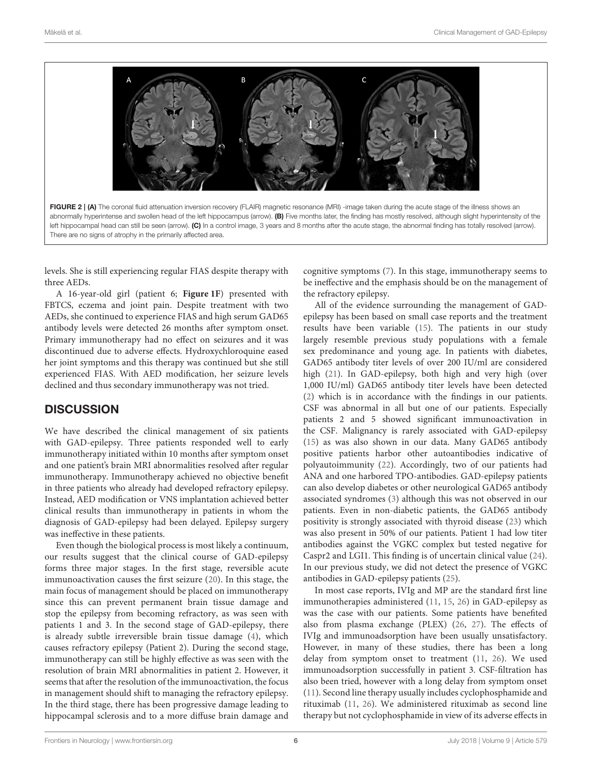

<span id="page-5-0"></span>levels. She is still experiencing regular FIAS despite therapy with three AEDs.

A 16-year-old girl (patient 6; **[Figure 1F](#page-4-0)**) presented with FBTCS, eczema and joint pain. Despite treatment with two AEDs, she continued to experience FIAS and high serum GAD65 antibody levels were detected 26 months after symptom onset. Primary immunotherapy had no effect on seizures and it was discontinued due to adverse effects. Hydroxychloroquine eased her joint symptoms and this therapy was continued but she still experienced FIAS. With AED modification, her seizure levels declined and thus secondary immunotherapy was not tried.

# **DISCUSSION**

We have described the clinical management of six patients with GAD-epilepsy. Three patients responded well to early immunotherapy initiated within 10 months after symptom onset and one patient's brain MRI abnormalities resolved after regular immunotherapy. Immunotherapy achieved no objective benefit in three patients who already had developed refractory epilepsy. Instead, AED modification or VNS implantation achieved better clinical results than immunotherapy in patients in whom the diagnosis of GAD-epilepsy had been delayed. Epilepsy surgery was ineffective in these patients.

Even though the biological process is most likely a continuum, our results suggest that the clinical course of GAD-epilepsy forms three major stages. In the first stage, reversible acute immunoactivation causes the first seizure [\(20\)](#page-7-19). In this stage, the main focus of management should be placed on immunotherapy since this can prevent permanent brain tissue damage and stop the epilepsy from becoming refractory, as was seen with patients 1 and 3. In the second stage of GAD-epilepsy, there is already subtle irreversible brain tissue damage [\(4\)](#page-7-3), which causes refractory epilepsy (Patient 2). During the second stage, immunotherapy can still be highly effective as was seen with the resolution of brain MRI abnormalities in patient 2. However, it seems that after the resolution of the immunoactivation, the focus in management should shift to managing the refractory epilepsy. In the third stage, there has been progressive damage leading to hippocampal sclerosis and to a more diffuse brain damage and cognitive symptoms [\(7\)](#page-7-6). In this stage, immunotherapy seems to be ineffective and the emphasis should be on the management of the refractory epilepsy.

All of the evidence surrounding the management of GADepilepsy has been based on small case reports and the treatment results have been variable [\(15\)](#page-7-14). The patients in our study largely resemble previous study populations with a female sex predominance and young age. In patients with diabetes, GAD65 antibody titer levels of over 200 IU/ml are considered high [\(21\)](#page-7-20). In GAD-epilepsy, both high and very high (over 1,000 IU/ml) GAD65 antibody titer levels have been detected [\(2\)](#page-7-1) which is in accordance with the findings in our patients. CSF was abnormal in all but one of our patients. Especially patients 2 and 5 showed significant immunoactivation in the CSF. Malignancy is rarely associated with GAD-epilepsy [\(15\)](#page-7-14) as was also shown in our data. Many GAD65 antibody positive patients harbor other autoantibodies indicative of polyautoimmunity [\(22\)](#page-7-21). Accordingly, two of our patients had ANA and one harbored TPO-antibodies. GAD-epilepsy patients can also develop diabetes or other neurological GAD65 antibody associated syndromes [\(3\)](#page-7-2) although this was not observed in our patients. Even in non-diabetic patients, the GAD65 antibody positivity is strongly associated with thyroid disease [\(23\)](#page-7-22) which was also present in 50% of our patients. Patient 1 had low titer antibodies against the VGKC complex but tested negative for Caspr2 and LGI1. This finding is of uncertain clinical value [\(24\)](#page-7-23). In our previous study, we did not detect the presence of VGKC antibodies in GAD-epilepsy patients [\(25\)](#page-7-24).

In most case reports, IVIg and MP are the standard first line immunotherapies administered [\(11,](#page-7-10) [15,](#page-7-14) [26\)](#page-7-25) in GAD-epilepsy as was the case with our patients. Some patients have benefited also from plasma exchange (PLEX) [\(26,](#page-7-25) [27\)](#page-7-26). The effects of IVIg and immunoadsorption have been usually unsatisfactory. However, in many of these studies, there has been a long delay from symptom onset to treatment [\(11,](#page-7-10) [26\)](#page-7-25). We used immunoadsorption successfully in patient 3. CSF-filtration has also been tried, however with a long delay from symptom onset [\(11\)](#page-7-10). Second line therapy usually includes cyclophosphamide and rituximab [\(11,](#page-7-10) [26\)](#page-7-25). We administered rituximab as second line therapy but not cyclophosphamide in view of its adverse effects in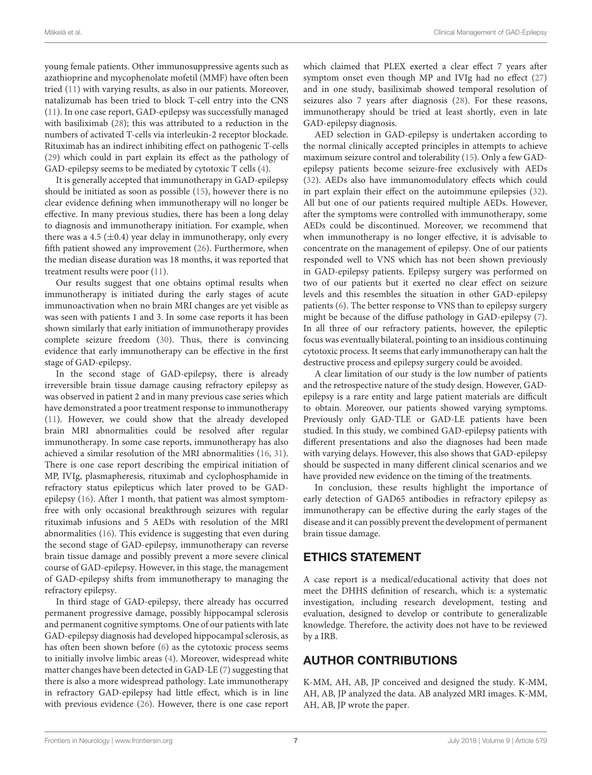young female patients. Other immunosuppressive agents such as azathioprine and mycophenolate mofetil (MMF) have often been tried [\(11\)](#page-7-10) with varying results, as also in our patients. Moreover, natalizumab has been tried to block T-cell entry into the CNS [\(11\)](#page-7-10). In one case report, GAD-epilepsy was successfully managed with basiliximab [\(28\)](#page-7-27); this was attributed to a reduction in the numbers of activated T-cells via interleukin-2 receptor blockade. Rituximab has an indirect inhibiting effect on pathogenic T-cells [\(29\)](#page-7-28) which could in part explain its effect as the pathology of GAD-epilepsy seems to be mediated by cytotoxic T cells [\(4\)](#page-7-3).

It is generally accepted that immunotherapy in GAD-epilepsy should be initiated as soon as possible [\(15\)](#page-7-14), however there is no clear evidence defining when immunotherapy will no longer be effective. In many previous studies, there has been a long delay to diagnosis and immunotherapy initiation. For example, when there was a 4.5  $(\pm 0.4)$  year delay in immunotherapy, only every fifth patient showed any improvement [\(26\)](#page-7-25). Furthermore, when the median disease duration was 18 months, it was reported that treatment results were poor [\(11\)](#page-7-10).

Our results suggest that one obtains optimal results when immunotherapy is initiated during the early stages of acute immunoactivation when no brain MRI changes are yet visible as was seen with patients 1 and 3. In some case reports it has been shown similarly that early initiation of immunotherapy provides complete seizure freedom [\(30\)](#page-7-29). Thus, there is convincing evidence that early immunotherapy can be effective in the first stage of GAD-epilepsy.

In the second stage of GAD-epilepsy, there is already irreversible brain tissue damage causing refractory epilepsy as was observed in patient 2 and in many previous case series which have demonstrated a poor treatment response to immunotherapy [\(11\)](#page-7-10). However, we could show that the already developed brain MRI abnormalities could be resolved after regular immunotherapy. In some case reports, immunotherapy has also achieved a similar resolution of the MRI abnormalities [\(16,](#page-7-15) [31\)](#page-7-30). There is one case report describing the empirical initiation of MP, IVIg, plasmapheresis, rituximab and cyclophosphamide in refractory status epilepticus which later proved to be GADepilepsy [\(16\)](#page-7-15). After 1 month, that patient was almost symptomfree with only occasional breakthrough seizures with regular rituximab infusions and 5 AEDs with resolution of the MRI abnormalities [\(16\)](#page-7-15). This evidence is suggesting that even during the second stage of GAD-epilepsy, immunotherapy can reverse brain tissue damage and possibly prevent a more severe clinical course of GAD-epilepsy. However, in this stage, the management of GAD-epilepsy shifts from immunotherapy to managing the refractory epilepsy.

In third stage of GAD-epilepsy, there already has occurred permanent progressive damage, possibly hippocampal sclerosis and permanent cognitive symptoms. One of our patients with late GAD-epilepsy diagnosis had developed hippocampal sclerosis, as has often been shown before [\(6\)](#page-7-5) as the cytotoxic process seems to initially involve limbic areas [\(4\)](#page-7-3). Moreover, widespread white matter changes have been detected in GAD-LE [\(7\)](#page-7-6) suggesting that there is also a more widespread pathology. Late immunotherapy in refractory GAD-epilepsy had little effect, which is in line with previous evidence [\(26\)](#page-7-25). However, there is one case report which claimed that PLEX exerted a clear effect 7 years after symptom onset even though MP and IVIg had no effect [\(27\)](#page-7-26) and in one study, basiliximab showed temporal resolution of seizures also 7 years after diagnosis [\(28\)](#page-7-27). For these reasons, immunotherapy should be tried at least shortly, even in late GAD-epilepsy diagnosis.

AED selection in GAD-epilepsy is undertaken according to the normal clinically accepted principles in attempts to achieve maximum seizure control and tolerability [\(15\)](#page-7-14). Only a few GADepilepsy patients become seizure-free exclusively with AEDs [\(32\)](#page-7-31). AEDs also have immunomodulatory effects which could in part explain their effect on the autoimmune epilepsies [\(32\)](#page-7-31). All but one of our patients required multiple AEDs. However, after the symptoms were controlled with immunotherapy, some AEDs could be discontinued. Moreover, we recommend that when immunotherapy is no longer effective, it is advisable to concentrate on the management of epilepsy. One of our patients responded well to VNS which has not been shown previously in GAD-epilepsy patients. Epilepsy surgery was performed on two of our patients but it exerted no clear effect on seizure levels and this resembles the situation in other GAD-epilepsy patients [\(6\)](#page-7-5). The better response to VNS than to epilepsy surgery might be because of the diffuse pathology in GAD-epilepsy [\(7\)](#page-7-6). In all three of our refractory patients, however, the epileptic focus was eventually bilateral, pointing to an insidious continuing cytotoxic process. It seems that early immunotherapy can halt the destructive process and epilepsy surgery could be avoided.

A clear limitation of our study is the low number of patients and the retrospective nature of the study design. However, GADepilepsy is a rare entity and large patient materials are difficult to obtain. Moreover, our patients showed varying symptoms. Previously only GAD-TLE or GAD-LE patients have been studied. In this study, we combined GAD-epilepsy patients with different presentations and also the diagnoses had been made with varying delays. However, this also shows that GAD-epilepsy should be suspected in many different clinical scenarios and we have provided new evidence on the timing of the treatments.

In conclusion, these results highlight the importance of early detection of GAD65 antibodies in refractory epilepsy as immunotherapy can be effective during the early stages of the disease and it can possibly prevent the development of permanent brain tissue damage.

## ETHICS STATEMENT

A case report is a medical/educational activity that does not meet the DHHS definition of research, which is: a systematic investigation, including research development, testing and evaluation, designed to develop or contribute to generalizable knowledge. Therefore, the activity does not have to be reviewed by a IRB.

# AUTHOR CONTRIBUTIONS

K-MM, AH, AB, JP conceived and designed the study. K-MM, AH, AB, JP analyzed the data. AB analyzed MRI images. K-MM, AH, AB, JP wrote the paper.